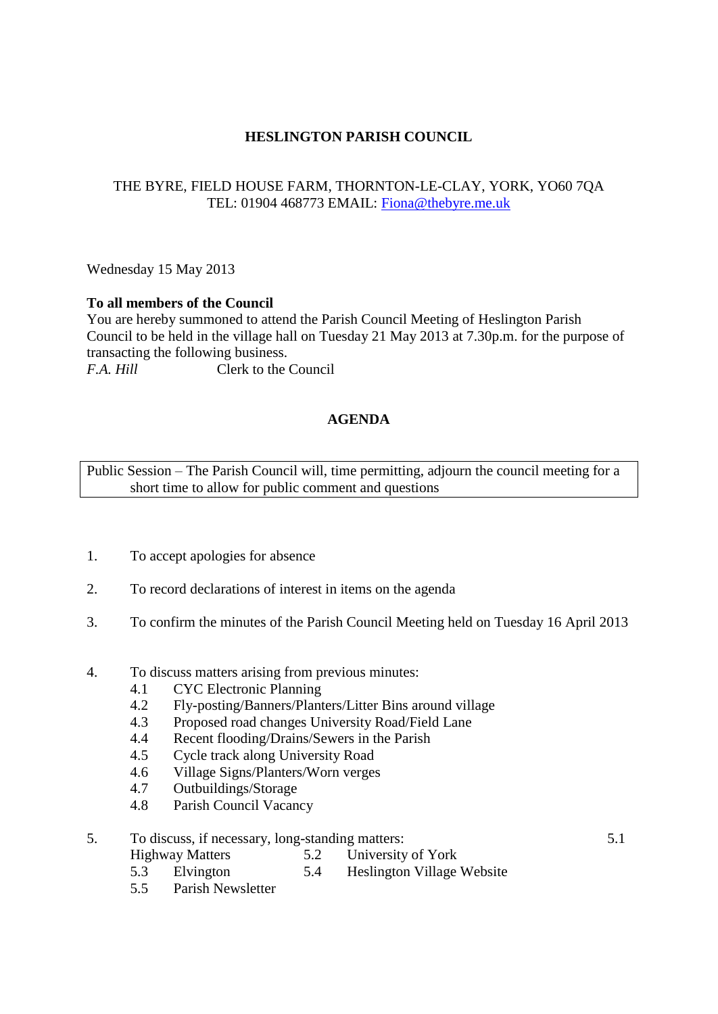# **HESLINGTON PARISH COUNCIL**

# THE BYRE, FIELD HOUSE FARM, THORNTON-LE-CLAY, YORK, YO60 7QA TEL: 01904 468773 EMAIL: [Fiona@thebyre.me.uk](mailto:Fiona@thebyre.me.uk)

Wednesday 15 May 2013

#### **To all members of the Council**

You are hereby summoned to attend the Parish Council Meeting of Heslington Parish Council to be held in the village hall on Tuesday 21 May 2013 at 7.30p.m. for the purpose of transacting the following business. *F.A. Hill* Clerk to the Council

### **AGENDA**

Public Session – The Parish Council will, time permitting, adjourn the council meeting for a short time to allow for public comment and questions

- 1. To accept apologies for absence
- 2. To record declarations of interest in items on the agenda
- 3. To confirm the minutes of the Parish Council Meeting held on Tuesday 16 April 2013
- 4. To discuss matters arising from previous minutes:
	- 4.1 CYC Electronic Planning
	- 4.2 Fly-posting/Banners/Planters/Litter Bins around village
	- 4.3 Proposed road changes University Road/Field Lane
	- 4.4 Recent flooding/Drains/Sewers in the Parish
	- 4.5 Cycle track along University Road
	- 4.6 Village Signs/Planters/Worn verges
	- 4.7 Outbuildings/Storage
	- 4.8 Parish Council Vacancy

# 5. To discuss, if necessary, long-standing matters: 5.1

- Highway Matters 5.2 University of York
	-
- 5.3 Elvington 5.4 Heslington Village Website
- 5.5 Parish Newsletter